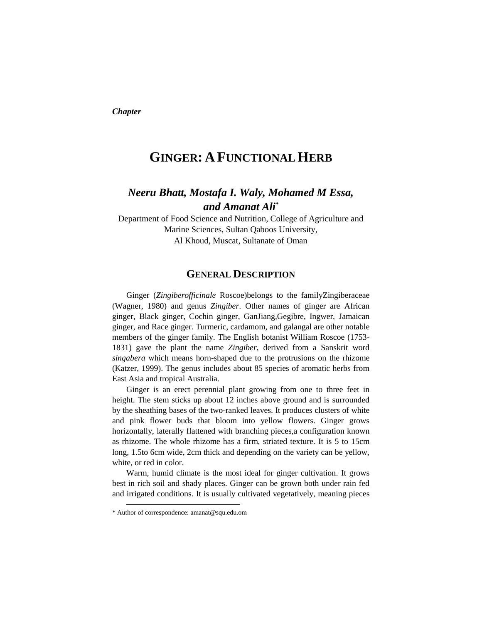*Chapter* 

# **GINGER: A FUNCTIONAL HERB**

## *Neeru Bhatt, Mostafa I. Waly, Mohamed M Essa, and Amanat Ali\**

Department of Food Science and Nutrition, College of Agriculture and Marine Sciences, Sultan Qaboos University, Al Khoud, Muscat, Sultanate of Oman

## **GENERAL DESCRIPTION**

Ginger (*Zingiberofficinale* Roscoe)belongs to the familyZingiberaceae (Wagner, 1980) and genus *Zingiber*. Other names of ginger are African ginger, Black ginger, Cochin ginger, GanJiang,Gegibre, Ingwer, Jamaican ginger, and Race ginger. Turmeric, cardamom, and galangal are other notable members of the ginger family. The English botanist William Roscoe (1753- 1831) gave the plant the name *Zingiber*, derived from a Sanskrit word *singabera* which means horn-shaped due to the protrusions on the rhizome (Katzer, 1999). The genus includes about 85 species of aromatic herbs from East Asia and tropical Australia.

Ginger is an erect perennial plant growing from one to three feet in height. The stem sticks up about 12 inches above ground and is surrounded by the sheathing bases of the two-ranked leaves. It produces clusters of white and pink flower buds that bloom into yellow flowers. Ginger grows horizontally, laterally flattened with branching pieces,a configuration known as rhizome. The whole rhizome has a firm, striated texture. It is 5 to 15cm long, 1.5to 6cm wide, 2cm thick and depending on the variety can be yellow, white, or red in color.

Warm, humid climate is the most ideal for ginger cultivation. It grows best in rich soil and shady places. Ginger can be grown both under rain fed and irrigated conditions. It is usually cultivated vegetatively, meaning pieces

 $\overline{a}$ 

<sup>\*</sup> Author of correspondence: amanat@squ.edu.om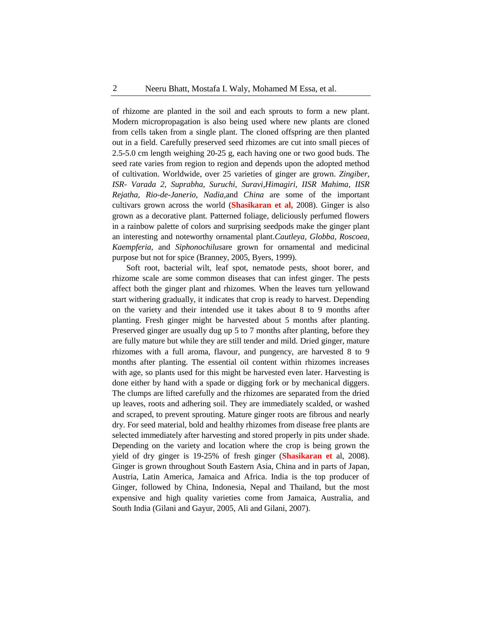of rhizome are planted in the soil and each sprouts to form a new plant. Modern micropropagation is also being used where new plants are cloned from cells taken from a single plant. The cloned offspring are then planted out in a field. Carefully preserved seed rhizomes are cut into small pieces of 2.5-5.0 cm length weighing 20-25 g, each having one or two good buds. The seed rate varies from region to region and depends upon the adopted method of cultivation. Worldwide, over 25 varieties of ginger are grown. *Zingiber, ISR- Varada 2, Suprabha, Suruchi, Suravi,Himagiri, IISR Mahima, IISR Rejatha, Rio-de-Janerio, Nadia,*and *China* are some of the important cultivars grown across the world (**Shasikaran et al,** 2008). Ginger is also grown as a decorative plant. Patterned foliage, deliciously perfumed flowers in a rainbow palette of colors and surprising seedpods make the ginger plant an interesting and noteworthy ornamental plant.*Cautleya, Globba, Roscoea, Kaempferia,* and *Siphonochilus*are grown for ornamental and medicinal purpose but not for spice (Branney, 2005, Byers, 1999).

Soft root, bacterial wilt, leaf spot, nematode pests, shoot borer, and rhizome scale are some common diseases that can infest ginger. The pests affect both the ginger plant and rhizomes. When the leaves turn yellowand start withering gradually, it indicates that crop is ready to harvest. Depending on the variety and their intended use it takes about 8 to 9 months after planting. Fresh ginger might be harvested about 5 months after planting. Preserved ginger are usually dug up 5 to 7 months after planting, before they are fully mature but while they are still tender and mild. Dried ginger, mature rhizomes with a full aroma, flavour, and pungency, are harvested 8 to 9 months after planting. The essential oil content within rhizomes increases with age, so plants used for this might be harvested even later. Harvesting is done either by hand with a spade or digging fork or by mechanical diggers. The clumps are lifted carefully and the rhizomes are separated from the dried up leaves, roots and adhering soil. They are immediately scalded, or washed and scraped, to prevent sprouting. Mature ginger roots are fibrous and nearly dry. For seed material, bold and healthy rhizomes from disease free plants are selected immediately after harvesting and stored properly in pits under shade. Depending on the variety and location where the crop is being grown the yield of dry ginger is 19-25% of fresh ginger (**Shasikaran et** al, 2008). Ginger is grown throughout South Eastern Asia, China and in parts of Japan, Austria, Latin America, Jamaica and Africa. India is the top producer of Ginger, followed by China, Indonesia, Nepal and Thailand, but the most expensive and high quality varieties come from Jamaica, Australia, and South India (Gilani and Gayur, 2005, Ali and Gilani, 2007).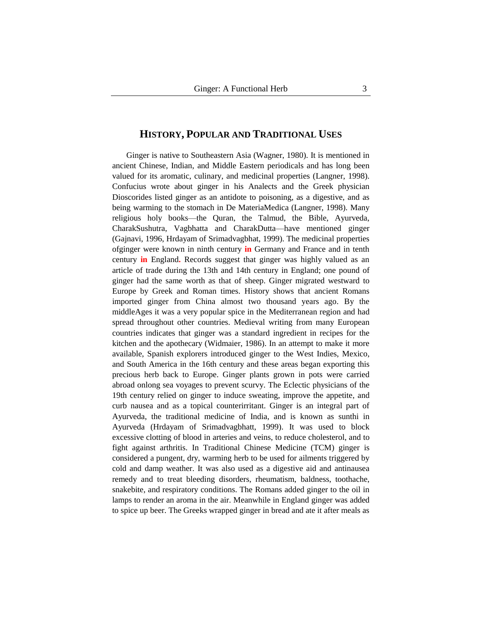## **HISTORY, POPULAR AND TRADITIONAL USES**

Ginger is native to Southeastern Asia (Wagner, 1980). It is mentioned in ancient Chinese, Indian, and Middle Eastern periodicals and has long been valued for its aromatic, culinary, and medicinal properties (Langner, 1998). Confucius wrote about ginger in his Analects and the Greek physician Dioscorides listed ginger as an antidote to poisoning, as a digestive, and as being warming to the stomach in De MateriaMedica (Langner, 1998). Many religious holy books—the Quran, the Talmud, the Bible, Ayurveda, CharakSushutra, Vagbhatta and CharakDutta—have mentioned ginger (Gajnavi, 1996, Hrdayam of Srimadvagbhat, 1999). The medicinal properties ofginger were known in ninth century **in** Germany and France and in tenth century **in** England**.** Records suggest that ginger was highly valued as an article of trade during the 13th and 14th century in England; one pound of ginger had the same worth as that of sheep. Ginger migrated westward to Europe by Greek and Roman times. History shows that ancient Romans imported ginger from China almost two thousand years ago. By the middleAges it was a very popular spice in the Mediterranean region and had spread throughout other countries. Medieval writing from many European countries indicates that ginger was a standard ingredient in recipes for the kitchen and the apothecary (Widmaier, 1986). In an attempt to make it more available, Spanish explorers introduced ginger to the West Indies, Mexico, and South America in the 16th century and these areas began exporting this precious herb back to Europe. Ginger plants grown in pots were carried abroad onlong sea voyages to prevent scurvy. The Eclectic physicians of the 19th century relied on ginger to induce sweating, improve the appetite, and curb nausea and as a topical counterirritant. Ginger is an integral part of Ayurveda, the traditional medicine of India, and is known as sunthi in Ayurveda (Hrdayam of Srimadvagbhatt, 1999). It was used to block excessive clotting of blood in arteries and veins, to reduce cholesterol, and to fight against arthritis. In Traditional Chinese Medicine (TCM) ginger is considered a pungent, dry, warming herb to be used for ailments triggered by cold and damp weather. It was also used as a digestive aid and antinausea remedy and to treat bleeding disorders, rheumatism, baldness, toothache, snakebite, and respiratory conditions. The Romans added ginger to the oil in lamps to render an aroma in the air. Meanwhile in England ginger was added to spice up beer. The Greeks wrapped ginger in bread and ate it after meals as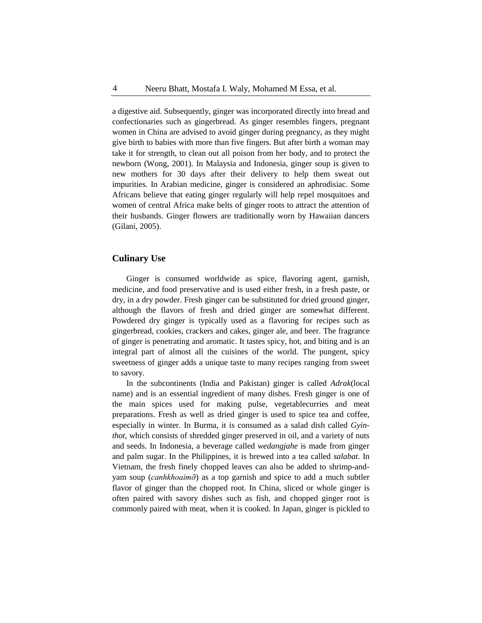a digestive aid. Subsequently, ginger was incorporated directly into bread and confectionaries such as gingerbread. As ginger resembles fingers, pregnant women in China are advised to avoid ginger during pregnancy, as they might give birth to babies with more than five fingers. But after birth a woman may take it for strength, to clean out all poison from her body, and to protect the newborn (Wong, 2001). In Malaysia and Indonesia, ginger soup is given to new mothers for 30 days after their delivery to help them sweat out impurities. In Arabian medicine, ginger is considered an aphrodisiac. Some Africans believe that eating ginger regularly will help repel mosquitoes and women of central Africa make belts of ginger roots to attract the attention of their husbands. Ginger flowers are traditionally worn by Hawaiian dancers (Gilani, 2005).

## **Culinary Use**

Ginger is consumed worldwide as spice, flavoring agent, garnish, medicine, and food preservative and is used either fresh, in a fresh paste, or dry, in a dry powder. Fresh ginger can be substituted for dried ground ginger, although the flavors of fresh and dried ginger are somewhat different. Powdered dry ginger is typically used as a flavoring for recipes such as gingerbread, cookies, crackers and cakes, ginger ale, and beer. The fragrance of ginger is penetrating and aromatic. It tastes spicy, hot, and biting and is an integral part of almost all the cuisines of the world. The pungent, spicy sweetness of ginger adds a unique taste to many recipes ranging from sweet to savory.

In the subcontinents (India and Pakistan) ginger is called *Adrak*(local name) and is an essential ingredient of many dishes. Fresh ginger is one of the main spices used for making pulse, vegetablecurries and meat preparations. Fresh as well as dried ginger is used to spice tea and coffee, especially in winter. In Burma, it is consumed as a salad dish called *Gyinthot*, which consists of shredded ginger preserved in oil, and a variety of nuts and seeds. In Indonesia, a beverage called *wedangjahe* is made from ginger and palm sugar. In the Philippines, it is brewed into a tea called *salabat*. In Vietnam, the fresh finely chopped leaves can also be added to shrimp-andyam soup (*canhkhoaimỡ*) as a top garnish and spice to add a much subtler flavor of ginger than the chopped root. In China, sliced or whole ginger is often paired with savory dishes such as fish, and chopped ginger root is commonly paired with meat, when it is cooked. In Japan, ginger is pickled to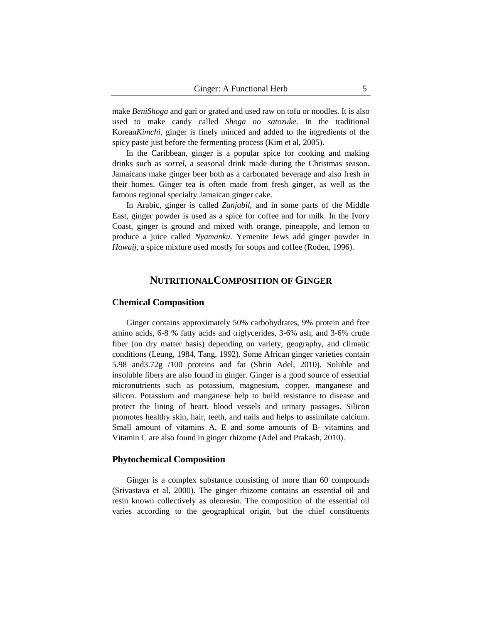make *BeniShoga* and gari or grated and used raw on tofu or noodles. It is also used to make candy called *Shoga no satozuke*. In the traditional Korean*Kimchi*, ginger is finely minced and added to the ingredients of the spicy paste just before the fermenting process (Kim et al, 2005).

In the Caribbean, ginger is a popular spice for cooking and making drinks such as *sorrel*, a seasonal drink made during the Christmas season. Jamaicans make ginger beer both as a carbonated beverage and also fresh in their homes. Ginger tea is often made from fresh ginger, as well as the famous regional specialty Jamaican ginger cake.

In Arabic, ginger is called *Zanjabil*, and in some parts of the Middle East, ginger powder is used as a spice for coffee and for milk. In the Ivory Coast, ginger is ground and mixed with orange, pineapple, and lemon to produce a juice called *Nyamanku*. Yemenite Jews add ginger powder in *Hawaij*, a spice mixture used mostly for soups and coffee (Roden, 1996).

## **NUTRITIONALCOMPOSITION OF GINGER**

## **Chemical Composition**

Ginger contains approximately 50% carbohydrates, 9% protein and free amino acids, 6-8 % fatty acids and triglycerides, 3-6% ash, and 3-6% crude fiber (on dry matter basis) depending on variety, geography, and climatic conditions (Leung, 1984, Tang, 1992). Some African ginger varieties contain 5.98 and3.72g /100 proteins and fat (Shrin Adel, 2010). Soluble and insoluble fibers are also found in ginger. Ginger is a good source of essential micronutrients such as potassium, magnesium, copper, manganese and silicon. Potassium and manganese help to build resistance to disease and protect the lining of heart, blood vessels and urinary passages. Silicon promotes healthy skin, hair, teeth, and nails and helps to assimilate calcium. Small amount of vitamins A, E and some amounts of B- vitamins and Vitamin C are also found in ginger rhizome (Adel and Prakash, 2010).

#### **Phytochemical Composition**

Ginger is a complex substance consisting of more than 60 compounds (Srivastava et al, 2000). The ginger rhizome contains an essential oil and resin known collectively as oleoresin. The composition of the essential oil varies according to the geographical origin, but the chief constituents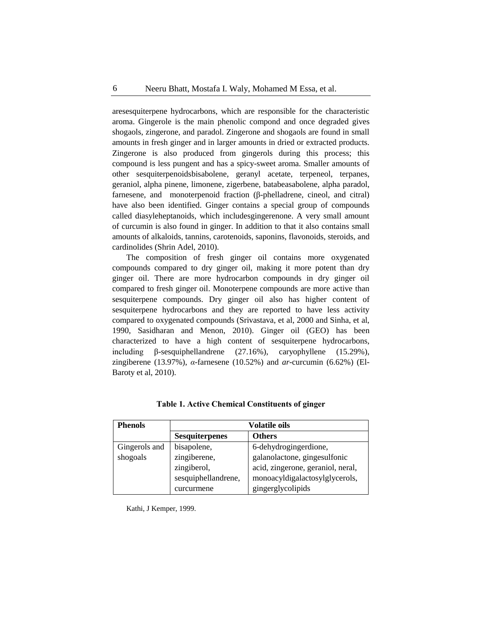aresesquiterpene hydrocarbons, which are responsible for the characteristic aroma. Gingerole is the main phenolic compond and once degraded gives shogaols, zingerone, and paradol. Zingerone and shogaols are found in small amounts in fresh ginger and in larger amounts in dried or extracted products. Zingerone is also produced from gingerols during this process; this compound is less pungent and has a spicy-sweet aroma. Smaller amounts of other sesquiterpenoid[sbisabolene,](http://en.wikipedia.org/wiki/Bisabolene) geranyl acetate, terpeneol, terpanes, geraniol, alpha pinene, limonene, zigerbene, batabeasabolene, alpha paradol, [farnesene,](http://en.wikipedia.org/wiki/Farnesene) and [monoterpenoid](http://en.wikipedia.org/wiki/Monoterpenoid) fraction [\(β-phelladrene,](http://en.wikipedia.org/wiki/Phellandrene) [cineol,](http://en.wikipedia.org/wiki/Cineol) and [citral\)](http://en.wikipedia.org/wiki/Citral) have also been identified. Ginger contains a special group of compounds called diasyleheptanoids, which includesgingerenone. A very small amount of curcumin is also found in ginger. In addition to that it also contains small amounts of alkaloids, tannins, carotenoids, saponins, flavonoids, steroids, and cardinolides (Shrin Adel, 2010).

The composition of fresh ginger oil contains more oxygenated compounds compared to dry ginger oil, making it more potent than dry ginger oil. There are more hydrocarbon compounds in dry ginger oil compared to fresh ginger oil. Monoterpene compounds are more active than sesquiterpene compounds. Dry ginger oil also has higher content of sesquiterpene hydrocarbons and they are reported to have less activity compared to oxygenated compounds (Srivastava, et al, 2000 and Sinha, et al, 1990, Sasidharan and Menon, 2010). Ginger oil (GEO) has been characterized to have a high content of sesquiterpene hydrocarbons, including β-sesquiphellandrene (27.16%), caryophyllene (15.29%), zingiberene (13.97%), *α*-farnesene (10.52%) and *ar*-curcumin (6.62%) (El-Baroty et al, 2010).

| <b>Phenols</b> | <b>Volatile oils</b>  |                                   |
|----------------|-----------------------|-----------------------------------|
|                | <b>Sesquiterpenes</b> | <b>Others</b>                     |
| Gingerols and  | bisapolene,           | 6-dehydrogingerdione,             |
| shogoals       | zingiberene,          | galanolactone, gingesulfonic      |
|                | zingiberol,           | acid, zingerone, geraniol, neral, |
|                | sesquiphellandrene,   | monoacyldigalactosylglycerols,    |
|                | curcurmene            | gingerglycolipids                 |

**Table 1. Active Chemical Constituents of ginger**

Kathi, J Kemper, 1999.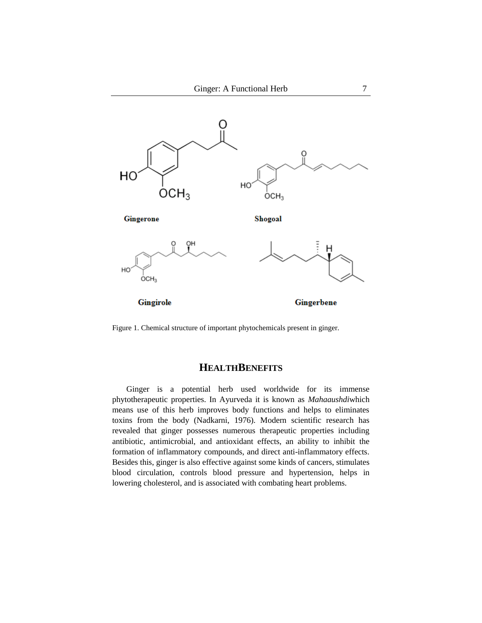

Figure 1. Chemical structure of important phytochemicals present in ginger.

## **HEALTHBENEFITS**

Ginger is a potential herb used worldwide for its immense phytotherapeutic properties. In Ayurveda it is known as *Mahaaushdi*which means use of this herb improves body functions and helps to eliminates toxins from the body (Nadkarni, 1976). Modern scientific research has revealed that ginger possesses numerous therapeutic properties including antibiotic, antimicrobial, and antioxidant effects, an ability to inhibit the formation of inflammatory compounds, and direct anti-inflammatory effects. Besides this, ginger is also effective against some kinds of cancers, stimulates blood circulation, controls blood pressure and hypertension, helps in lowering cholesterol, and is associated with combating heart problems.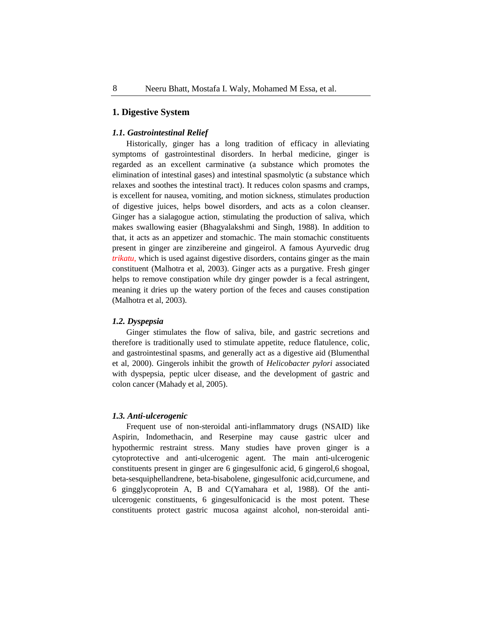## **1. Digestive System**

#### *1.1. Gastrointestinal Relief*

Historically, ginger has a long tradition of efficacy in alleviating symptoms of gastrointestinal disorders. In herbal medicine, ginger is regarded as an excellent carminative (a substance which promotes the elimination of intestinal gases) and intestinal spasmolytic (a substance which relaxes and soothes the intestinal tract). It reduces colon spasms and cramps, is excellent for nausea, vomiting, and motion sickness, stimulates production of digestive juices, helps bowel disorders, and acts as a colon cleanser. Ginger has a [sialagogue](http://en.wikipedia.org/wiki/Sialagogue) action, stimulating the production of [saliva,](http://en.wikipedia.org/wiki/Saliva) which makes swallowing easier (Bhagyalakshmi and Singh, 1988). In addition to that, it acts as an appetizer and stomachic. The main stomachic constituents present in ginger are zinzibereine and gingeirol. A famous Ayurvedic drug *trikatu,* which is used against digestive disorders, contains ginger as the main constituent (Malhotra et al, 2003). Ginger acts as a purgative. Fresh ginger helps to remove constipation while dry ginger powder is a fecal astringent, meaning it dries up the watery portion of the feces and causes constipation (Malhotra et al, 2003).

#### *1.2. Dyspepsia*

Ginger stimulates the flow of saliva, bile, and gastric secretions and therefore is traditionally used to stimulate appetite, reduce flatulence, colic, and gastrointestinal spasms, and generally act as a digestive aid (Blumenthal et al, 2000). Gingerols inhibit the growth of *Helicobacter pylori* associated with dyspepsia, peptic ulcer disease, and the development of gastric and colon cancer (Mahady et al, 2005).

#### *1.3. Anti-ulcerogenic*

Frequent use of non-steroidal anti-inflammatory drugs (NSAID) like Aspirin, Indomethacin, and Reserpine may cause gastric ulcer and hypothermic restraint stress. Many studies have proven ginger is a cytoprotective and anti-ulcerogenic agent. The main anti-ulcerogenic constituents present in ginger are 6 gingesulfonic acid, 6 gingerol,6 shogoal, beta-sesquiphellandrene, beta-bisabolene, gingesulfonic acid,curcumene, and 6 gingglycoprotein A, B and C(Yamahara et al, 1988). Of the antiulcerogenic constituents, 6 gingesulfonicacid is the most potent. These constituents protect gastric mucosa against alcohol, non-steroidal anti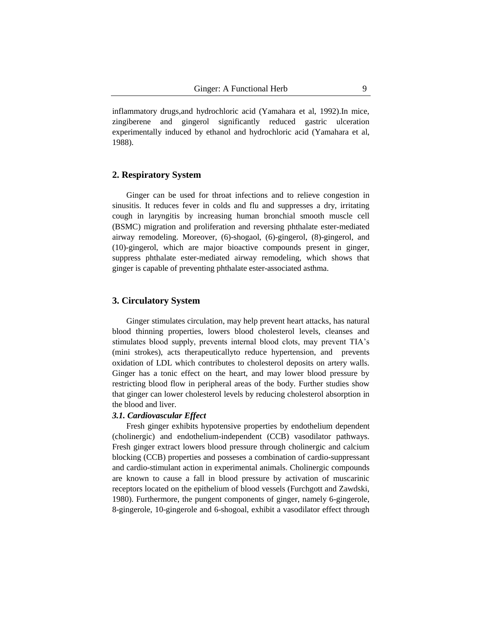inflammatory drugs,and hydrochloric acid (Yamahara et al, 1992).In mice, zingiberene and gingerol significantly reduced gastric ulceration experimentally induced by ethanol and hydrochloric acid (Yamahara et al, 1988).

## **2. Respiratory System**

Ginger can be used for throat infections and to relieve congestion in sinusitis. It reduces fever in colds and flu and suppresses a dry, irritating cough in laryngitis by increasing human bronchial smooth muscle cell (BSMC) migration and proliferation and reversing phthalate ester-mediated airway remodeling. Moreover, (6)-shogaol, (6)-gingerol, (8)-gingerol, and (10)-gingerol, which are major bioactive compounds present in ginger, suppress phthalate ester-mediated airway remodeling, which shows that ginger is capable of preventing phthalate ester-associated asthma.

## **3. Circulatory System**

Ginger stimulates circulation, may help prevent heart attacks, has natural blood thinning properties, lowers blood cholesterol levels, cleanses and stimulates blood supply, prevents internal blood clots, may prevent TIA's (mini strokes), acts therapeuticallyto reduce hypertension, and prevents oxidation of LDL which contributes to cholesterol deposits on artery walls. Ginger has a tonic effect on the heart, and may lower blood pressure by restricting blood flow in peripheral areas of the body. Further studies show that ginger can lower cholesterol levels by reducing cholesterol absorption in the blood and liver.

#### *3.1. Cardiovascular Effect*

Fresh ginger exhibits hypotensive properties by endothelium dependent (cholinergic) and endothelium-independent (CCB) vasodilator pathways. Fresh ginger extract lowers blood pressure through cholinergic and calcium blocking (CCB) properties and posseses a combination of cardio-suppressant and cardio-stimulant action in experimental animals. Cholinergic compounds are known to cause a fall in blood pressure by activation of muscarinic receptors located on the epithelium of blood vessels (Furchgott and Zawdski, 1980). Furthermore, the pungent components of ginger, namely 6-gingerole, 8-gingerole, 10-gingerole and 6-shogoal, exhibit a vasodilator effect through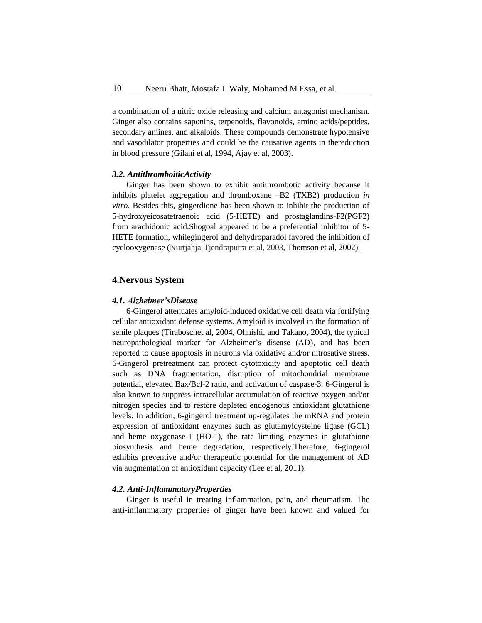a combination of a nitric oxide releasing and calcium antagonist mechanism. Ginger also contains saponins, terpenoids, flavonoids, amino acids/peptides, secondary amines, and alkaloids. These compounds demonstrate hypotensive and vasodilator properties and could be the causative agents in thereduction in blood pressure (Gilani et al, 1994, Ajay et al, 2003).

#### *3.2. AntithromboiticActivity*

Ginger has been shown to exhibit antithrombotic activity because it inhibits platelet aggregation and thromboxane –B2 (TXB2) production *in vitro*. Besides this, gingerdione has been shown to inhibit the production of 5-hydroxyeicosatetraenoic acid (5-HETE) and prostaglandins-F2(PGF2) from arachidonic acid.Shogoal appeared to be a preferential inhibitor of 5- HETE formation, whilegingerol and dehydroparadol favored the inhibition of cyclooxygenase (Nurtjahja-Tjendraputra et al, 2003, Thomson et al, 2002).

## **4.Nervous System**

#### *4.1. Alzheimer'sDisease*

[6-Gingerol attenuates amyloid-induced oxidative cell death via fortifying](http://www.ncbi.nlm.nih.gov/pubmed/21396424)  [cellular antioxidant defense systems](http://www.ncbi.nlm.nih.gov/pubmed/21396424). Amyloid is involved in the formation of senile plaques (Tiraboschet al, 2004, Ohnishi, and Takano, 2004), the typical neuropathological marker for Alzheimer's disease (AD), and has been reported to cause apoptosis in neurons via oxidative and/or nitrosative stress. 6-Gingerol pretreatment can protect cytotoxicity and apoptotic cell death such as DNA fragmentation, disruption of mitochondrial membrane potential, elevated Bax/Bcl-2 ratio, and activation of caspase-3. 6-Gingerol is also known to suppress intracellular accumulation of reactive oxygen and/or nitrogen species and to restore depleted endogenous antioxidant glutathione levels. In addition, 6-gingerol treatment up-regulates the mRNA and protein expression of antioxidant enzymes such as glutamylcysteine ligase (GCL) and heme oxygenase-1 (HO-1), the rate limiting enzymes in glutathione biosynthesis and heme degradation, respectively.Therefore, 6-gingerol exhibits preventive and/or therapeutic potential for the management of AD via augmentation of antioxidant capacity (Lee et al, 2011).

## *4.2. Anti-InflammatoryProperties*

Ginger is useful in treating inflammation, pain, and rheumatism. The anti-inflammatory properties of ginger have been known and valued for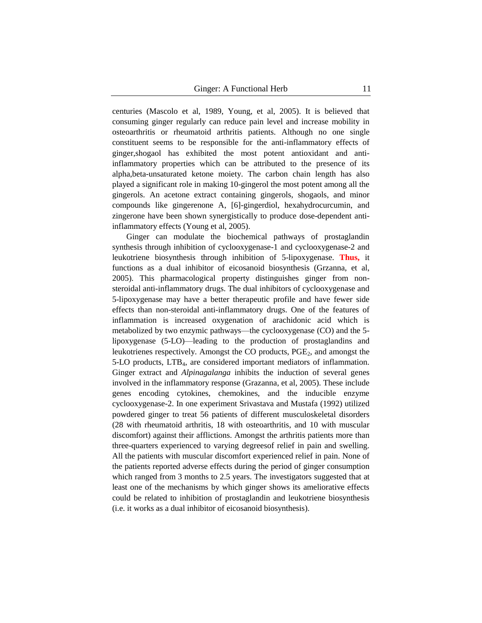centuries (Mascolo et al, 1989, Young, et al, 2005). It is believed that consuming ginger regularly can reduce pain level and increase mobility in osteoarthritis or rheumatoid arthritis patients. Although no one single constituent seems to be responsible for the anti-inflammatory effects of ginger,shogaol has exhibited the most potent antioxidant and antiinflammatory properties which can be attributed to the presence of its alpha,beta-unsaturated ketone moiety. The carbon chain length has also played a significant role in making 10-gingerol the most potent among all the gingerols. An acetone extract containing gingerols, shogaols, and minor compounds like gingerenone A, [6]-gingerdiol, hexahydrocurcumin, and zingerone have been shown synergistically to produce dose-dependent antiinflammatory effects (Young et al, 2005).

Ginger can modulate the biochemical pathways of prostaglandin synthesis through inhibition of cyclooxygenase-1 and cyclooxygenase-2 and leukotriene biosynthesis through inhibition of 5-lipoxygenase. **Thus,** it functions as a dual inhibitor of eicosanoid biosynthesis (Grzanna, et al, 2005). This pharmacological property distinguishes ginger from nonsteroidal anti-inflammatory drugs. The dual inhibitors of cyclooxygenase and 5-lipoxygenase may have a better therapeutic profile and have fewer side effects than non-steroidal anti-inflammatory drugs. One of the features of inflammation is increased oxygenation of arachidonic acid which is metabolized by two enzymic pathways—the cyclooxygenase (CO) and the 5 lipoxygenase (5-LO)—leading to the production of prostaglandins and leukotrienes respectively. Amongst the CO products, PGE<sub>2</sub>, and amongst the 5-LO products, LTB4, are considered important mediators of inflammation. Ginger extract and *Alpinagalanga* inhibits the induction of several genes involved in the inflammatory response (Grazanna, et al, 2005). These include genes encoding cytokines, chemokines, and the inducible enzyme cyclooxygenase-2. In one experiment Srivastava and Mustafa (1992) utilized powdered ginger to treat 56 patients of different musculoskeletal disorders (28 with rheumatoid arthritis, 18 with osteoarthritis, and 10 with muscular discomfort) against their afflictions. Amongst the arthritis patients more than three-quarters experienced to varying degreesof relief in pain and swelling. All the patients with muscular discomfort experienced relief in pain. None of the patients reported adverse effects during the period of ginger consumption which ranged from 3 months to 2.5 years. The investigators suggested that at least one of the mechanisms by which ginger shows its ameliorative effects could be related to inhibition of prostaglandin and leukotriene biosynthesis (i.e. it works as a dual inhibitor of eicosanoid biosynthesis).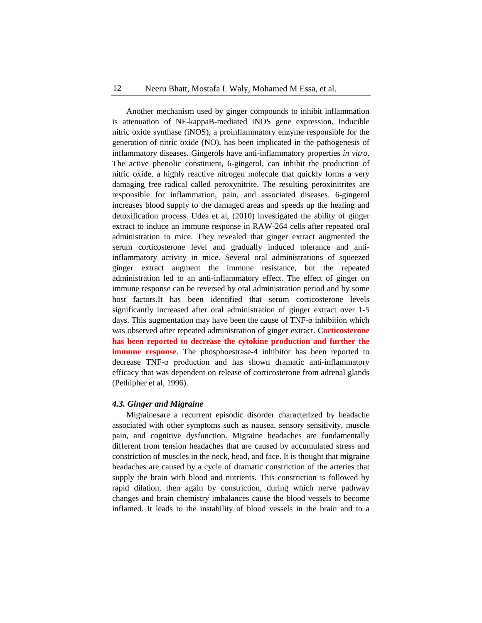Another mechanism used by ginger compounds to inhibit inflammation is attenuation of NF-kappaB-mediated iNOS gene expression. Inducible nitric oxide synthase (iNOS), a proinflammatory enzyme responsible for the generation of nitric oxide (NO), has been implicated in the pathogenesis of inflammatory diseases. Gingerols have anti-inflammatory properties *in vitro*. The active phenolic constituent, 6-gingerol, can inhibit the production of nitric oxide, a highly reactive nitrogen molecule that quickly forms a very damaging free radical called peroxynitrite. The resulting peroxinitrites are responsible for inflammation, pain, and associated diseases. 6-gingerol increases blood supply to the damaged areas and speeds up the healing and detoxification process. Udea et al, (2010) investigated the ability of ginger extract to induce an immune response in RAW-264 cells after repeated oral administration to mice. They revealed that ginger extract augmented the serum corticosterone level and gradually induced tolerance and antiinflammatory activity in mice. Several oral administrations of squeezed ginger extract augment the immune resistance, but the repeated administration led to an anti-inflammatory effect. The effect of ginger on immune response can be reversed by oral administration period and by some host factors.It has been identified that serum corticosterone levels significantly increased after oral administration of ginger extract over 1-5 days. This augmentation may have been the cause of TNF- $\alpha$  inhibition which was observed after repeated administration of ginger extract. C**orticosterone has been reported to decrease the cytokine production and further the immune response**. The phosphoestrase-4 inhibitor has been reported to decrease TNF-α production and has shown dramatic anti-inflammatory efficacy that was dependent on release of corticosterone from adrenal glands (Pethipher et al, 1996).

#### *4.3. Ginger and Migraine*

Migrainesare a recurrent episodic disorder characterized by headache associated with other symptoms such as nausea, sensory sensitivity, muscle pain, and cognitive dysfunction. Migraine headaches are fundamentally different from tension headaches that are caused by accumulated stress and constriction of muscles in the neck, head, and face. It is thought that migraine headaches are caused by a cycle of dramatic constriction of the arteries that supply the brain with blood and nutrients. This constriction is followed by rapid dilation, then again by constriction, during which nerve pathway changes and brain chemistry imbalances cause the blood vessels to become inflamed. It leads to the instability of blood vessels in the brain and to a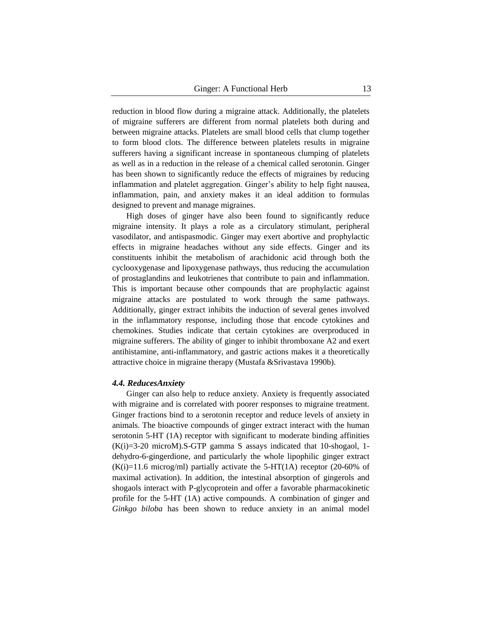reduction in blood flow during a migraine attack. Additionally, the platelets of migraine sufferers are different from normal platelets both during and between migraine attacks. Platelets are small blood cells that clump together to form blood clots. The difference between platelets results in migraine sufferers having a significant increase in spontaneous clumping of platelets as well as in a reduction in the release of a chemical called serotonin. Ginger has been shown to significantly reduce the effects of migraines by reducing inflammation and platelet aggregation. Ginger's ability to help fight nausea, inflammation, pain, and anxiety makes it an ideal addition to formulas designed to prevent and manage migraines.

High doses of ginger have also been found to significantly reduce migraine intensity. It plays a role as a circulatory stimulant, peripheral vasodilator, and antispasmodic. Ginger may exert abortive and prophylactic effects in migraine headaches without any side effects. Ginger and its constituents inhibit the metabolism of arachidonic acid through both the cyclooxygenase and lipoxygenase pathways, thus reducing the accumulation of prostaglandins and leukotrienes that contribute to pain and inflammation. This is important because other compounds that are prophylactic against migraine attacks are postulated to work through the same pathways. Additionally, ginger extract inhibits the induction of several genes involved in the inflammatory response, including those that encode cytokines and chemokines. Studies indicate that certain cytokines are overproduced in migraine sufferers. The ability of ginger to inhibit thromboxane A2 and exert antihistamine, anti-inflammatory, and gastric actions makes it a theoretically attractive choice in migraine therapy (Mustafa &Srivastava 1990b).

#### *4.4. ReducesAnxiety*

Ginger can also help to reduce anxiety. Anxiety is frequently associated with migraine and is correlated with poorer responses to migraine treatment. Ginger fractions bind to a serotonin receptor and reduce levels of anxiety in animals. The bioactive compounds of ginger extract interact with the human serotonin 5-HT (1A) receptor with significant to moderate binding affinities  $(K(i)=3-20$  microM).S-GTP gamma S assays indicated that 10-shogaol, 1dehydro-6-gingerdione, and particularly the whole lipophilic ginger extract  $(K(i)=11.6$  microg/ml) partially activate the 5-HT(1A) receptor (20-60% of maximal activation). In addition, the intestinal absorption of gingerols and shogaols interact with P-glycoprotein and offer a favorable pharmacokinetic profile for the 5-HT (1A) active compounds. A combination of ginger and *Ginkgo biloba* has been shown to reduce anxiety in an animal model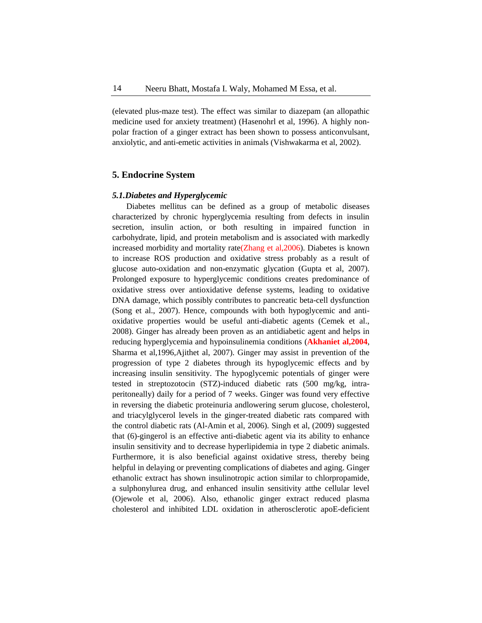(elevated plus-maze test). The effect was similar to diazepam (an allopathic medicine used for anxiety treatment) (Hasenohrl et al, 1996). A highly nonpolar fraction of a ginger extract has been shown to possess anticonvulsant, anxiolytic, and anti-emetic activities in animals (Vishwakarma et al, 2002).

## **5. Endocrine System**

## *5.1.Diabetes and Hyperglycemic*

Diabetes mellitus can be defined as a group of metabolic diseases characterized by chronic hyperglycemia resulting from defects in insulin secretion, insulin action, or both resulting in impaired function in carbohydrate, lipid, and protein metabolism and is associated with markedly increased morbidity and mortality rate(Zhang et al,2006). Diabetes is known to increase ROS production and oxidative stress probably as a result of glucose auto-oxidation and non-enzymatic glycation (Gupta et al, 2007). Prolonged exposure to hyperglycemic conditions creates predominance of oxidative stress over antioxidative defense systems, leading to oxidative DNA damage, which possibly contributes to pancreatic beta-cell dysfunction (Song et al., 2007). Hence, compounds with both hypoglycemic and antioxidative properties would be useful anti-diabetic agents (Cemek et al., 2008). Ginger has already been proven as an antidiabetic agent and helps in reducing hyperglycemia and hypoinsulinemia conditions (**Akhaniet al,2004**, Sharma et al,1996,Ajithet al, 2007). Ginger may assist in prevention of the progression of type 2 diabetes through its hypoglycemic effects and by increasing insulin sensitivity. The hypoglycemic potentials of ginger were tested in streptozotocin (STZ)-induced diabetic rats (500 mg/kg, intraperitoneally) daily for a period of 7 weeks. Ginger was found very effective in reversing the diabetic proteinuria andlowering serum glucose, cholesterol, and triacylglycerol levels in the ginger-treated diabetic rats compared with the control diabetic rats (Al-Amin et al, 2006). Singh et al, (2009) suggested that (6)-gingerol is an effective anti-diabetic agent via its ability to enhance insulin sensitivity and to decrease hyperlipidemia in type 2 diabetic animals. Furthermore, it is also beneficial against oxidative stress, thereby being helpful in delaying or preventing complications of diabetes and aging. Ginger ethanolic extract has shown insulinotropic action similar to chlorpropamide, a sulphonylurea drug, and enhanced insulin sensitivity atthe cellular level (Ojewole et al, 2006). Also, ethanolic ginger extract reduced plasma cholesterol and inhibited LDL oxidation in atherosclerotic apoE-deficient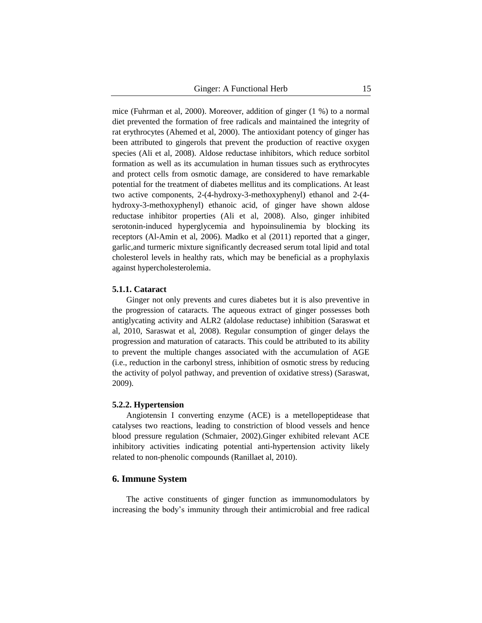mice (Fuhrman et al, 2000). Moreover, addition of ginger (1 %) to a normal diet prevented the formation of free radicals and maintained the integrity of rat erythrocytes (Ahemed et al, 2000). The antioxidant potency of ginger has been attributed to gingerols that prevent the production of reactive oxygen species (Ali et al, 2008). Aldose reductase inhibitors, which reduce sorbitol formation as well as its accumulation in human tissues such as erythrocytes and protect cells from osmotic damage, are considered to have remarkable potential for the treatment of diabetes mellitus and its complications. At least two active components, 2-(4-hydroxy-3-methoxyphenyl) ethanol and 2-(4 hydroxy-3-methoxyphenyl) ethanoic acid, of ginger have shown aldose reductase inhibitor properties (Ali et al, 2008). Also, ginger inhibited serotonin-induced hyperglycemia and hypoinsulinemia by blocking its receptors (Al-Amin et al, 2006). Madko et al (2011) reported that a ginger, garlic,and turmeric mixture significantly decreased serum total lipid and total cholesterol levels in healthy rats, which may be beneficial as a prophylaxis against hypercholesterolemia.

## **5.1.1. Cataract**

Ginger not only prevents and cures diabetes but it is also preventive in the progression of cataracts. The aqueous extract of ginger possesses both antiglycating activity and ALR2 (aldolase reductase) inhibition (Saraswat et al, 2010, Saraswat et al, 2008). Regular consumption of ginger delays the progression and maturation of cataracts. This could be attributed to its ability to prevent the multiple changes associated with the accumulation of AGE (i.e., reduction in the carbonyl stress, inhibition of osmotic stress by reducing the activity of polyol pathway, and prevention of oxidative stress) (Saraswat, 2009).

#### **5.2.2. Hypertension**

Angiotensin I converting enzyme (ACE) is a metellopeptidease that catalyses two reactions, leading to constriction of blood vessels and hence blood pressure regulation (Schmaier, 2002).Ginger exhibited relevant ACE inhibitory activities indicating potential anti-hypertension activity likely related to non-phenolic compounds (Ranillaet al, 2010).

## **6. Immune System**

The active constituents of ginger function as immunomodulators by increasing the body's immunity through their antimicrobial and free radical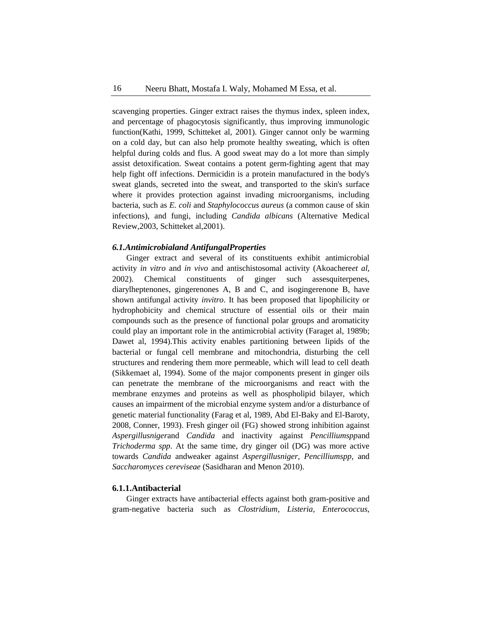scavenging properties. Ginger extract raises the thymus index, spleen index, and percentage of phagocytosis significantly, thus improving immunologic function(Kathi, 1999, Schitteket al*,* 2001). Ginger cannot only be warming on a cold day, but can also help promote healthy sweating, which is often helpful during colds and flus. A good sweat may do a lot more than simply assist detoxification. Sweat contains a potent germ-fighting agent that may help fight off infections. Dermicidin is a protein manufactured in the body's sweat glands, secreted into the sweat, and transported to the skin's surface where it provides protection against invading microorganisms, including bacteria, such as *E. coli* and *Staphylococcus aureus* (a common cause of skin infections), and fungi, including *Candida albicans* (Alternative Medical Review,2003, Schitteket al,2001).

#### *6.1.Antimicrobialand AntifungalProperties*

Ginger extract and several of its constituents exhibit antimicrobial activity *in vitro* and *in vivo* and antischistosomal activity (Akoachere*et al,* 2002). Chemical constituents of ginger such assesquiterpenes, diarylheptenones, gingerenones A, B and C, and isogingerenone B, have shown antifungal activity *invitro*. It has been proposed that lipophilicity or hydrophobicity and chemical structure of essential oils or their main compounds such as the presence of functional polar groups and aromaticity could play an important role in the antimicrobial activity (Faraget al, 1989b; Dawet al, 1994).This activity enables partitioning between lipids of the bacterial or fungal cell membrane and mitochondria, disturbing the cell structures and rendering them more permeable, which will lead to cell death (Sikkemaet al, 1994). Some of the major components present in ginger oils can penetrate the membrane of the microorganisms and react with the membrane enzymes and proteins as well as phospholipid bilayer, which causes an impairment of the microbial enzyme system and/or a disturbance of genetic material functionality (Farag et al, 1989, Abd El-Baky and El-Baroty, 2008, Conner, 1993). Fresh ginger oil (FG) showed strong inhibition against *Aspergillusniger*and *Candida* and inactivity against *Pencilliumspp*and *Trichoderma spp*. At the same time, dry ginger oil (DG) was more active towards *Candida* andweaker against *Aspergillusniger, Pencilliumspp,* and *Saccharomyces cereviseae* (Sasidharan and Menon 2010).

## **6.1.1.Antibacterial**

Ginger extracts have antibacterial effects against both gram-positive and gram-negative bacteria such as *Clostridium, Listeria, Enterococcus,*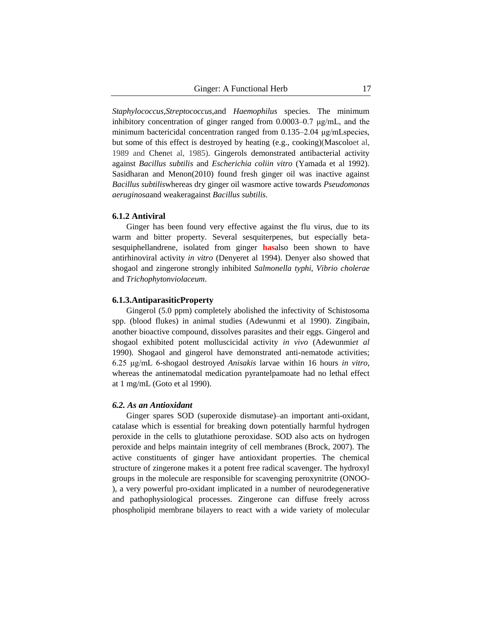*Staphylococcus,Streptococcus,*and *Haemophilus* species. The minimum inhibitory concentration of ginger ranged from 0.0003–0.7 μg/mL, and the minimum bactericidal concentration ranged from 0.135–2.04 μg/mLspecies, but some of this effect is destroyed by heating (e.g., cooking)(Mascoloet al, 1989 and Chenet al, 1985). Gingerols demonstrated antibacterial activity against *Bacillus subtilis* and *Escherichia coliin vitro* (Yamada et al 1992). Sasidharan and Menon(2010) found fresh ginger oil was inactive against *Bacillus subtilis*whereas dry ginger oil wasmore active towards *Pseudomonas aeruginosa*and weakeragainst *Bacillus subtilis.* 

## **6.1.2 Antiviral**

Ginger has been found very effective against the flu virus, due to its warm and bitter property. Several sesquiterpenes, but especially betasesquiphellandrene, isolated from ginger **has**also been shown to have antirhinoviral activity *in vitro* (Denyeret al 1994). Denyer also showed that shogaol and zingerone strongly inhibited *Salmonella typhi*, *Vibrio cholerae* and *Trichophytonviolaceum*.

#### **6.1.3.AntiparasiticProperty**

Gingerol (5.0 ppm) completely abolished the infectivity of Schistosoma spp. (blood flukes) in animal studies (Adewunmi et al 1990). Zingibain, another bioactive compound, dissolves parasites and their eggs. Gingerol and shogaol exhibited potent molluscicidal activity *in vivo* (Adewunmi*et al* 1990). Shogaol and gingerol have demonstrated anti-nematode activities; 6.25 μg/mL 6-shogaol destroyed *Anisakis* larvae within 16 hours *in vitro*, whereas the antinematodal medication pyrantelpamoate had no lethal effect at 1 mg/mL (Goto et al 1990).

#### *6.2. As an Antioxidant*

Ginger spares SOD (superoxide dismutase)–an important anti-oxidant, catalase which is essential for breaking down potentially harmful hydrogen peroxide in the cells to glutathione peroxidase. SOD also acts on hydrogen peroxide and helps maintain integrity of cell membranes (Brock, 2007). The active constituents of ginger have antioxidant properties. The chemical structure of zingerone makes it a potent free radical scavenger. The hydroxyl groups in the molecule are responsible for scavenging peroxynitrite (ONOO- ), a very powerful pro-oxidant implicated in a number of neurodegenerative and pathophysiological processes. Zingerone can diffuse freely across phospholipid membrane bilayers to react with a wide variety of molecular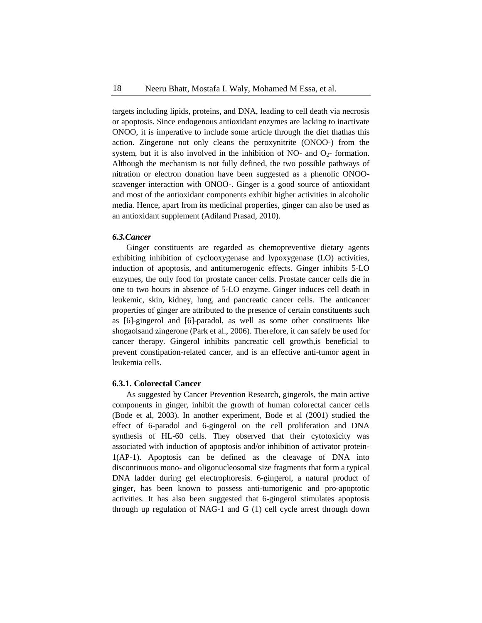targets including lipids, proteins, and DNA, leading to cell death via necrosis or apoptosis. Since endogenous antioxidant enzymes are lacking to inactivate ONOO, it is imperative to include some article through the diet thathas this action. Zingerone not only cleans the peroxynitrite (ONOO-) from the system, but it is also involved in the inhibition of NO- and  $O_{2}$ - formation. Although the mechanism is not fully defined, the two possible pathways of nitration or electron donation have been suggested as a phenolic ONOOscavenger interaction with ONOO-. Ginger is a good source of antioxidant and most of the antioxidant components exhibit higher activities in alcoholic media. Hence, apart from its medicinal properties, ginger can also be used as an antioxidant supplement (Adiland Prasad, 2010).

#### *6.3.Cancer*

Ginger constituents are regarded as chemopreventive dietary agents exhibiting inhibition of cyclooxygenase and lypoxygenase (LO) activities, induction of apoptosis, and antitumerogenic effects. Ginger inhibits 5-LO enzymes, the only food for prostate cancer cells. Prostate cancer cells die in one to two hours in absence of 5-LO enzyme. Ginger induces cell death in leukemic, skin, kidney, lung, and pancreatic cancer cells. The anticancer properties of ginger are attributed to the presence of certain constituents such as [6]-gingerol and [6]-paradol, as well as some other constituents like shogaolsand zingerone (Park et al., 2006). Therefore, it can safely be used for cancer therapy. Gingerol inhibits pancreatic cell growth,is beneficial to prevent constipation-related cancer, and is an effective anti-tumor agent in leukemia cells.

#### **6.3.1. Colorectal Cancer**

As suggested by Cancer Prevention Research, gingerols, the main active components in ginger, inhibit the growth of human colorectal cancer cells (Bode et al, 2003). In another experiment, Bode et al (2001) studied the effect of 6-paradol and 6-gingerol on the cell proliferation and DNA synthesis of HL-60 cells. They observed that their cytotoxicity was associated with induction of apoptosis and/or inhibition of activator protein-1(AP-1). Apoptosis can be defined as the cleavage of DNA into discontinuous mono- and oligonucleosomal size fragments that form a typical DNA ladder during gel electrophoresis. 6-gingerol, a natural product of ginger, has been known to possess anti-tumorigenic and pro-apoptotic activities. It has also been suggested that 6-gingerol stimulates apoptosis through up regulation of NAG-1 and G (1) cell cycle arrest through down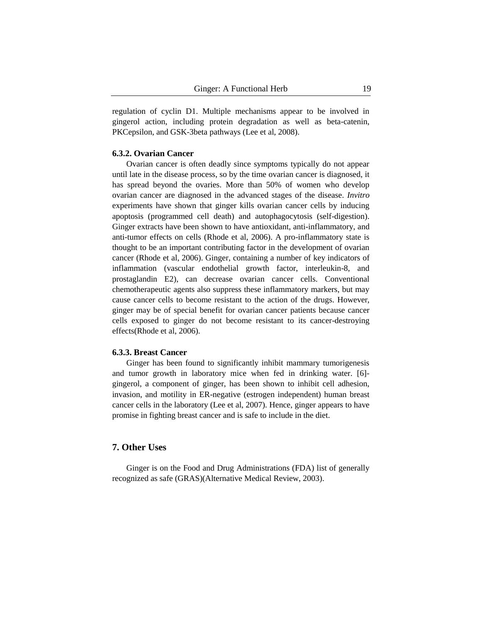regulation of cyclin D1. Multiple mechanisms appear to be involved in gingerol action, including protein degradation as well as beta-catenin, PKCepsilon, and GSK-3beta pathways (Lee et al, 2008).

#### **6.3.2. Ovarian Cancer**

Ovarian cancer is often deadly since symptoms typically do not appear until late in the disease process, so by the time ovarian cancer is diagnosed, it has spread beyond the ovaries. More than 50% of women who develop ovarian cancer are diagnosed in the advanced stages of the disease. *Invitro* experiments have shown that ginger kills ovarian cancer cells by inducing apoptosis (programmed cell death) and autophagocytosis (self-digestion). Ginger extracts have been shown to have antioxidant, anti-inflammatory, and anti-tumor effects on cells (Rhode et al, 2006). A pro-inflammatory state is thought to be an important contributing factor in the development of ovarian cancer (Rhode et al, 2006). Ginger, containing a number of key indicators of inflammation (vascular endothelial growth factor, interleukin-8, and prostaglandin E2), can decrease ovarian cancer cells. Conventional chemotherapeutic agents also suppress these inflammatory markers, but may cause cancer cells to become resistant to the action of the drugs. However, ginger may be of special benefit for ovarian cancer patients because cancer cells exposed to ginger do not become resistant to its cancer-destroying effects(Rhode et al, 2006).

## **6.3.3. Breast Cancer**

Ginger has been found to significantly inhibit mammary tumorigenesis and tumor growth in laboratory mice when fed in drinking water. [6] gingerol, a component of ginger, has been shown to inhibit cell adhesion, invasion, and motility in ER-negative (estrogen independent) human breast cancer cells in the laboratory (Lee et al, 2007). Hence, ginger appears to have promise in fighting breast cancer and is safe to include in the diet.

## **7. Other Uses**

Ginger is on the Food and Drug Administrations (FDA) list of generally recognized as safe (GRAS)(Alternative Medical Review, 2003).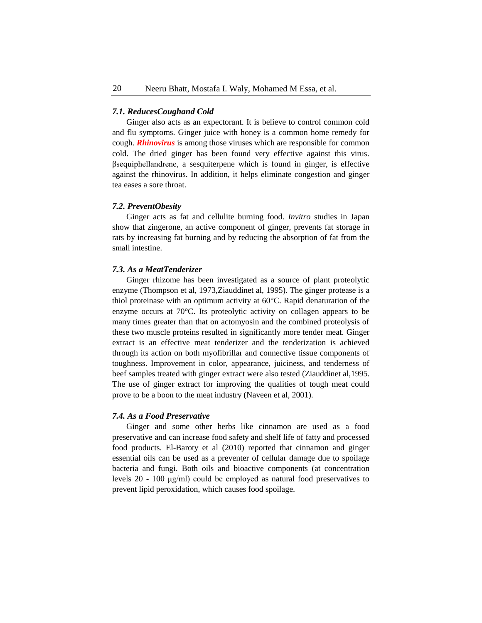## *7.1. ReducesCoughand Cold*

Ginger also acts as an expectorant. It is believe to control common cold and flu symptoms. Ginger juice with honey is a common home remedy for cough. *Rhinovirus* is among those viruses which are responsible for common cold. The dried ginger has been found very effective against this virus. βsequiphellandrene, a sesquiterpene which is found in ginger, is effective against the rhinovirus. In addition, it helps eliminate congestion and ginger tea eases a sore throat.

#### *7.2. PreventObesity*

Ginger acts as fat and cellulite burning food. *Invitro* studies in Japan show that zingerone, an active component of ginger, prevents fat storage in rats by increasing fat burning and by reducing the absorption of fat from the small intestine.

## *7.3. As a MeatTenderizer*

Ginger rhizome has been investigated as a source of plant proteolytic enzyme (Thompson et al, 1973,Ziauddinet al, 1995). The ginger protease is a thiol proteinase with an optimum activity at 60°C. Rapid denaturation of the enzyme occurs at 70°C. Its proteolytic activity on collagen appears to be many times greater than that on actomyosin and the combined proteolysis of these two muscle proteins resulted in significantly more tender meat. Ginger extract is an effective meat tenderizer and the tenderization is achieved through its action on both myofibrillar and connective tissue components of toughness. Improvement in color, appearance, juiciness, and tenderness of beef samples treated with ginger extract were also tested (Ziauddinet al,1995. The use of ginger extract for improving the qualities of tough meat could prove to be a boon to the meat industry (Naveen et al, 2001).

#### *7.4. As a Food Preservative*

Ginger and some other herbs like cinnamon are used as a food preservative and can increase food safety and shelf life of fatty and processed food products. El-Baroty et al (2010) reported that cinnamon and ginger essential oils can be used as a preventer of cellular damage due to spoilage bacteria and fungi. Both oils and bioactive components (at concentration levels 20 - 100 μg/ml) could be employed as natural food preservatives to prevent lipid peroxidation, which causes food spoilage.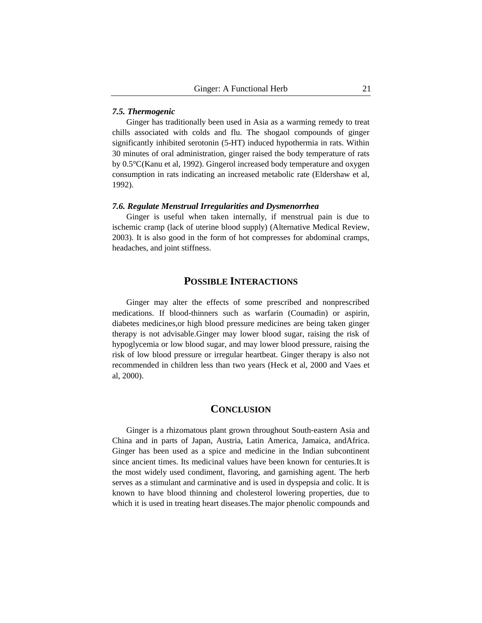## *7.5. Thermogenic*

Ginger has traditionally been used in Asia as a warming remedy to treat chills associated with colds and flu. The shogaol compounds of ginger significantly inhibited serotonin (5-HT) induced hypothermia in rats. Within 30 minutes of oral administration, ginger raised the body temperature of rats by 0.5°C(Kanu et al, 1992). Gingerol increased body temperature and oxygen consumption in rats indicating an increased metabolic rate (Eldershaw et al, 1992).

#### *7.6. Regulate Menstrual Irregularities and Dysmenorrhea*

Ginger is useful when taken internally, if menstrual pain is due to ischemic cramp (lack of uterine blood supply) (Alternative Medical Review, 2003). It is also good in the form of hot compresses for abdominal cramps, headaches, and joint stiffness.

## **POSSIBLE INTERACTIONS**

Ginger may alter the effects of some prescribed and nonprescribed medications. If blood-thinners such as warfarin (Coumadin) or aspirin, diabetes medicines,or high blood pressure medicines are being taken ginger therapy is not advisable.Ginger may lower blood sugar, raising the risk of hypoglycemia or low blood sugar, and may lower blood pressure, raising the risk of low blood pressure or irregular heartbeat. Ginger therapy is also not recommended in children less than two years (Heck et al, 2000 and Vaes et al, 2000).

## **CONCLUSION**

Ginger is a rhizomatous plant grown throughout South-eastern Asia and China and in parts of Japan, Austria, Latin America, Jamaica, andAfrica. Ginger has been used as a spice and medicine in the Indian subcontinent since ancient times. Its medicinal values have been known for centuries.It is the most widely used condiment, flavoring, and garnishing agent. The herb serves as a stimulant and carminative and is used in dyspepsia and colic. It is known to have blood thinning and cholesterol lowering properties, due to which it is used in treating heart diseases.The major phenolic compounds and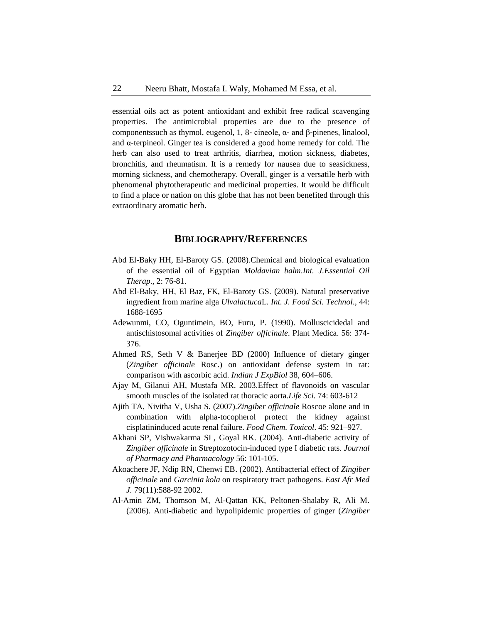essential oils act as potent antioxidant and exhibit free radical scavenging properties. The antimicrobial properties are due to the presence of components such as thymol, eugenol, 1, 8– cineole, α– and β–pinenes, linalool, and  $\alpha$ -terpineol. Ginger tea is considered a good home remedy for cold. The herb can also used to treat arthritis, diarrhea, motion sickness, diabetes, bronchitis, and rheumatism. It is a remedy for nausea due to seasickness, morning sickness, and chemotherapy. Overall, ginger is a versatile herb with phenomenal phytotherapeutic and medicinal properties. It would be difficult to find a place or nation on this globe that has not been benefited through this extraordinary aromatic herb.

## **BIBLIOGRAPHY/REFERENCES**

- Abd El-Baky HH, El-Baroty GS. (2008).Chemical and biological evaluation of the essential oil of Egyptian *Moldavian balm*.*Int. J.Essential Oil Therap*., 2: 76-81.
- Abd El-Baky, HH, El Baz, FK, El-Baroty GS. (2009). Natural preservative ingredient from marine alga *Ulvalactuca*L*. Int. J. Food Sci. Technol*., 44: 1688-1695
- Adewunmi, CO, Oguntimein, BO, Furu, P. (1990). Molluscicidedal and antischistosomal activities of *Zingiber officinale*. Plant Medica. 56: 374- 376.
- Ahmed RS, Seth V & Banerjee BD (2000) Influence of dietary ginger (*Zingiber officinale* Rosc.) on antioxidant defense system in rat: comparison with ascorbic acid. *Indian J ExpBiol* 38, 604–606.
- Ajay M, Gilanui AH, Mustafa MR. 2003.Effect of flavonoids on vascular smooth muscles of the isolated rat thoracic aorta.*Life Sci*. 74: 603-612
- Ajith TA, Nivitha V, Usha S. (2007).*Zingiber officinale* Roscoe alone and in combination with alpha-tocopherol protect the kidney against cisplatininduced acute renal failure. *Food Chem. Toxicol*. 45: 921–927.
- Akhani SP, Vishwakarma SL, Goyal RK. (2004). Anti-diabetic activity of *Zingiber officinale* in Streptozotocin-induced type I diabetic rats. *Journal of Pharmacy and Pharmacology* 56: 101-105.
- Akoachere JF, Ndip RN, Chenwi EB. (2002). Antibacterial effect of *Zingiber officinale* and *Garcinia kola* on respiratory tract pathogens. *East Afr Med J.* 79(11):588-92 2002.
- Al-Amin ZM, Thomson M, Al-Qattan KK, Peltonen-Shalaby R, Ali M. (2006). Anti-diabetic and hypolipidemic properties of ginger (*Zingiber*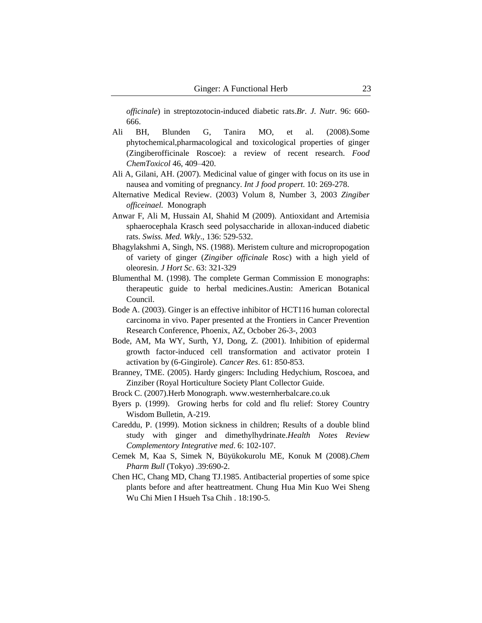*officinale*) in streptozotocin-induced diabetic rats.*Br. J. Nutr*. 96: 660- 666.

- Ali BH, Blunden G, Tanira MO, et al. (2008).Some phytochemical,pharmacological and toxicological properties of ginger (Zingiberofficinale Roscoe): a review of recent research. *Food ChemToxicol* 46, 409–420.
- Ali A, Gilani, AH. (2007). Medicinal value of ginger with focus on its use in nausea and vomiting of pregnancy. *Int J food propert*. 10: 269-278.
- Alternative Medical Review. (2003) Volum 8, Number 3, 2003 *Zingiber officeinael.* Monograph
- Anwar F, Ali M, Hussain AI, Shahid M (2009). Antioxidant and Artemisia sphaerocephala Krasch seed polysaccharide in alloxan-induced diabetic rats. *Swiss. Med. Wkly*., 136: 529-532.
- Bhagylakshmi A, Singh, NS. (1988). Meristem culture and micropropogation of variety of ginger (*Zingiber officinale* Rosc) with a high yield of oleoresin. *J Hort Sc*. 63: 321-329
- Blumenthal M. (1998). The complete German Commission E monographs: therapeutic guide to herbal medicines.Austin: American Botanical Council.
- Bode A. (2003). Ginger is an effective inhibitor of HCT116 human colorectal carcinoma in vivo. Paper presented at the Frontiers in Cancer Prevention Research Conference, Phoenix, AZ, Ocbober 26-3-, 2003
- Bode, AM, Ma WY, Surth, YJ, Dong, Z. (2001). Inhibition of epidermal growth factor-induced cell transformation and activator protein I activation by (6-Gingirole). *Cancer Res*. 61: 850-853.
- Branney, TME. (2005). Hardy gingers: Including Hedychium, Roscoea, and Zinziber (Royal Horticulture Society Plant Collector Guide.
- Brock C. (2007).Herb Monograph. www.westernherbalcare.co.uk
- Byers p. (1999). Growing herbs for cold and flu relief: Storey Country Wisdom Bulletin, A-219.
- Careddu, P. (1999). Motion sickness in children; Results of a double blind study with ginger and dimethylhydrinate.*Health Notes Review Complementory Integrative med*. 6: 102-107.
- Cemek M, Kaa S, Simek N, Büyükokurolu ME, Konuk M (2008).*Chem Pharm Bull* (Tokyo) .39:690-2.
- Chen HC, Chang MD, Chang TJ.1985. Antibacterial properties of some spice plants before and after heattreatment. Chung Hua Min Kuo Wei Sheng Wu Chi Mien I Hsueh Tsa Chih . 18:190-5.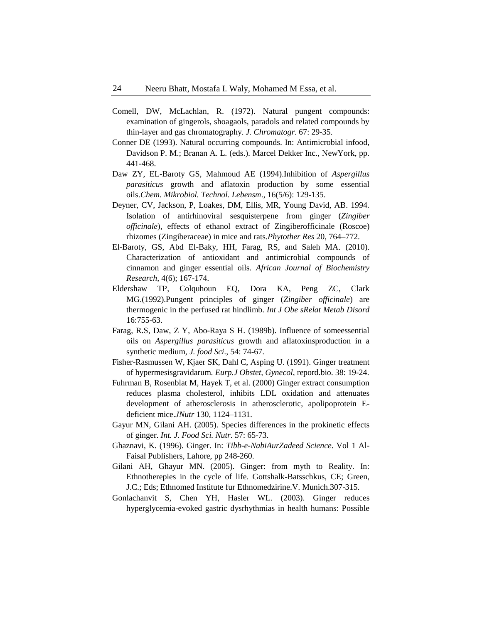- Comell, DW, McLachlan, R. (1972). Natural pungent compounds: examination of gingerols, shoagaols, paradols and related compounds by thin-layer and gas chromatography. *J. Chromatogr*. 67: 29-35.
- Conner DE (1993). Natural occurring compounds. In: Antimicrobial infood, Davidson P. M.; Branan A. L. (eds.). Marcel Dekker Inc., NewYork, pp. 441-468.
- Daw ZY, EL-Baroty GS, Mahmoud AE (1994).Inhibition of *Aspergillus parasiticus* growth and aflatoxin production by some essential oils.*Chem. Mikrobiol. Technol. Lebensm*., 16(5/6): 129-135.
- Deyner, CV, Jackson, P, Loakes, DM, Ellis, MR, Young David, AB. 1994. Isolation of antirhinoviral sesquisterpene from ginger (*Zingiber officinale*), effects of ethanol extract of Zingiberofficinale (Roscoe) rhizomes (Zingiberaceae) in mice and rats.*Phytother Res* 20, 764–772.
- El-Baroty, GS, Abd El-Baky, HH, Farag, RS, and Saleh MA. (2010). Characterization of antioxidant and antimicrobial compounds of cinnamon and ginger essential oils. *African Journal of Biochemistry Research*, 4(6); 167-174.
- Eldershaw TP, Colquhoun EQ, Dora KA, Peng ZC, Clark MG.(1992).Pungent principles of ginger (*Zingiber officinale*) are thermogenic in the perfused rat hindlimb. *Int J Obe sRelat Metab Disord* 16:755-63.
- Farag, R.S, Daw, Z Y, Abo-Raya S H. (1989b). Influence of someessential oils on *Aspergillus parasiticus* growth and aflatoxinsproduction in a synthetic medium, *J. food Sci*., 54: 74-67.
- Fisher-Rasmussen W, Kjaer SK, Dahl C, Asping U. (1991). Ginger treatment of hypermesisgravidarum. *Eurp.J Obstet, Gynecol*, repord.bio. 38: 19-24.
- Fuhrman B, Rosenblat M, Hayek T, et al. (2000) Ginger extract consumption reduces plasma cholesterol, inhibits LDL oxidation and attenuates development of atherosclerosis in atherosclerotic, apolipoprotein Edeficient mice.*JNutr* 130, 1124–1131.
- Gayur MN, Gilani AH. (2005). Species differences in the prokinetic effects of ginger. *Int. J. Food Sci. Nutr*. 57: 65-73.
- Ghaznavi, K. (1996). Ginger. In: *Tibb-e-NabiAurZadeed Science*. Vol 1 Al-Faisal Publishers, Lahore, pp 248-260.
- Gilani AH, Ghayur MN. (2005). Ginger: from myth to Reality. In: Ethnotherepies in the cycle of life. Gottshalk-Batsschkus, CE; Green, J.C.; Eds; Ethnomed Institute fur Ethnomedzirine.V. Munich.307-315.
- Gonlachanvit S, Chen YH, Hasler WL. (2003). Ginger reduces hyperglycemia-evoked gastric dysrhythmias in health humans: Possible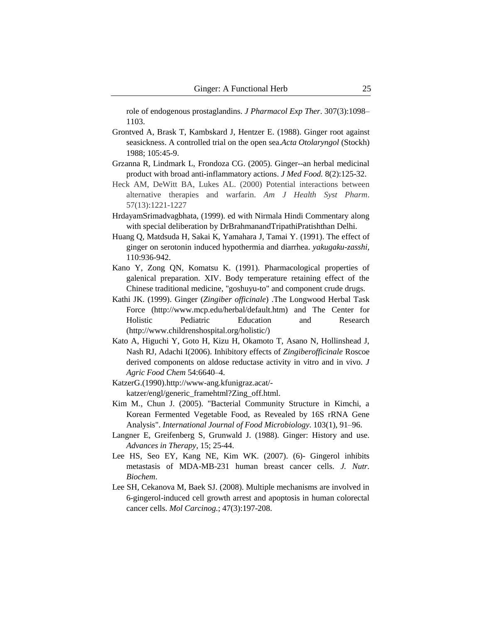role of endogenous prostaglandins. *J Pharmacol Exp Ther*. 307(3):1098– 1103.

- Grontved A, Brask T, Kambskard J, Hentzer E. (1988). Ginger root against seasickness. A controlled trial on the open sea.*Acta Otolaryngol* (Stockh) 1988; 105:45-9.
- Grzanna R, Lindmark L, Frondoza CG. (2005). Ginger--an herbal medicinal product with broad anti-inflammatory actions. *J Med Food.* 8(2):125-32.
- Heck AM, DeWitt BA, Lukes AL. (2000) Potential interactions between alternative therapies and warfarin. *Am J Health Syst Pharm*. 57(13):1221-1227
- HrdayamSrimadvagbhata, (1999). ed with Nirmala Hindi Commentary along with special deliberation by DrBrahmanandTripathiPratishthan Delhi.
- Huang Q, Matdsuda H, Sakai K, Yamahara J, Tamai Y. (1991). The effect of ginger on serotonin induced hypothermia and diarrhea. *yakugaku-zasshi,* 110:936-942.
- Kano Y, Zong QN, Komatsu K. (1991). Pharmacological properties of galenical preparation. XIV. Body temperature retaining effect of the Chinese traditional medicine, "goshuyu-to" and component crude drugs.
- Kathi JK. (1999). Ginger (*Zingiber officinale*) .The Longwood Herbal Task Force (http://www.mcp.edu/herbal/default.htm) and The Center for Holistic Pediatric Education and Research (http://www.childrenshospital.org/holistic/)
- Kato A, Higuchi Y, Goto H, Kizu H, Okamoto T, Asano N, Hollinshead J, Nash RJ, Adachi I(2006). Inhibitory effects of *Zingiberofficinale* Roscoe derived components on aldose reductase activity in vitro and in vivo. *J Agric Food Chem* 54:6640–4.
- KatzerG.(1990).http://www-ang.kfunigraz.acat/ katzer/engl/generic\_framehtml?Zing\_off.html.
- Kim M., Chun J. (2005). "Bacterial Community Structure in Kimchi, a Korean Fermented Vegetable Food, as Revealed by 16S rRNA Gene Analysis". *International Journal of Food Microbiology*. 103(1), 91–96.
- Langner E, Greifenberg S, Grunwald J. (1988). Ginger: History and use. *Advances in Therapy*, 15; 25-44.
- Lee HS, Seo EY, Kang NE, Kim WK. (2007). (6)- Gingerol inhibits metastasis of MDA-MB-231 human breast cancer cells. *J. Nutr. Biochem*.
- Lee SH, Cekanova M, Baek SJ. (2008). Multiple mechanisms are involved in 6-gingerol-induced cell growth arrest and apoptosis in human colorectal cancer cells. *Mol Carcinog.*; 47(3):197-208.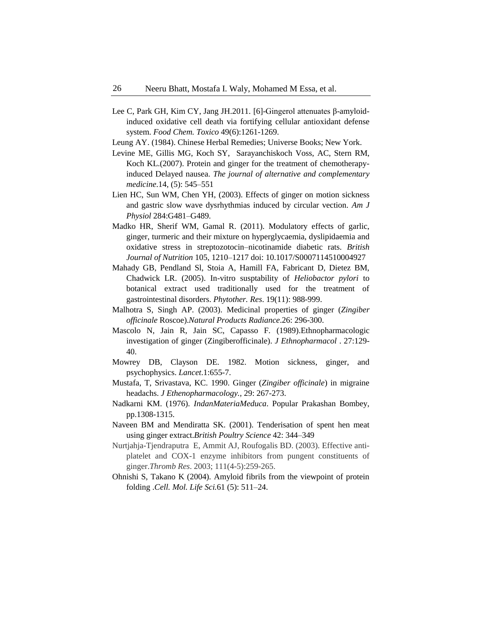- Lee C, Park GH, Kim CY, Jang JH.2011. [6]-Gingerol attenuates β-amyloidinduced oxidative cell death via fortifying cellular antioxidant defense system. *Food Chem. Toxico* 49(6):1261-1269.
- Leung AY. (1984). Chinese Herbal Remedies; Universe Books; New York.
- Levine ME, Gillis MG, Koch SY, Sarayanchiskoch Voss, AC, Stern RM, Koch KL.(2007). Protein and ginger for the treatment of chemotherapyinduced Delayed nausea. *The journal of alternative and complementary medicine*.14, (5): 545–551
- Lien HC, Sun WM, Chen YH, (2003). Effects of ginger on motion sickness and gastric slow wave dysrhythmias induced by circular vection. *Am J Physiol* 284:G481–G489.
- Madko HR, Sherif WM, Gamal R. (2011). Modulatory effects of garlic, ginger, turmeric and their mixture on hyperglycaemia, dyslipidaemia and oxidative stress in streptozotocin–nicotinamide diabetic rats. *British Journal of Nutrition* 105, 1210–1217 doi: 10.1017/S0007114510004927
- Mahady GB, Pendland Sl, Stoia A, Hamill FA, Fabricant D, Dietez BM, Chadwick LR. (2005). In-vitro susptability of *Heliobactor pylori* to botanical extract used traditionally used for the treatment of gastrointestinal disorders. *Phytother. Res*. 19(11): 988-999.
- Malhotra S, Singh AP. (2003). Medicinal properties of ginger (*Zingiber officinale* Roscoe).*Natural Products Radiance*.26: 296-300.
- Mascolo N, Jain R, Jain SC, Capasso F. (1989).Ethnopharmacologic investigation of ginger (Zingiberofficinale). *J Ethnopharmacol* . 27:129- 40.
- Mowrey DB, Clayson DE. 1982. Motion sickness, ginger, and psychophysics. *Lancet*.1:655-7.
- Mustafa, T, Srivastava, KC. 1990. Ginger (*Zingiber officinale*) in migraine headachs. *J Ethenopharmacology.,* 29: 267-273.
- Nadkarni KM. (1976). *IndanMateriaMeduca*. Popular Prakashan Bombey, pp.1308-1315.
- Naveen BM and Mendiratta SK. (2001). Tenderisation of spent hen meat using ginger extract.*British Poultry Science* 42: 344–349
- Nurtjahja-Tjendraputra E, Ammit AJ, Roufogalis BD. (2003). Effective antiplatelet and COX-1 enzyme inhibitors from pungent constituents of ginger.*Thromb Res*. 2003; 111(4-5):259-265.
- Ohnishi S, Takano K (2004). Amyloid fibrils from the viewpoint of protein folding .*Cell. Mol. Life Sci.*61 (5): 511–24.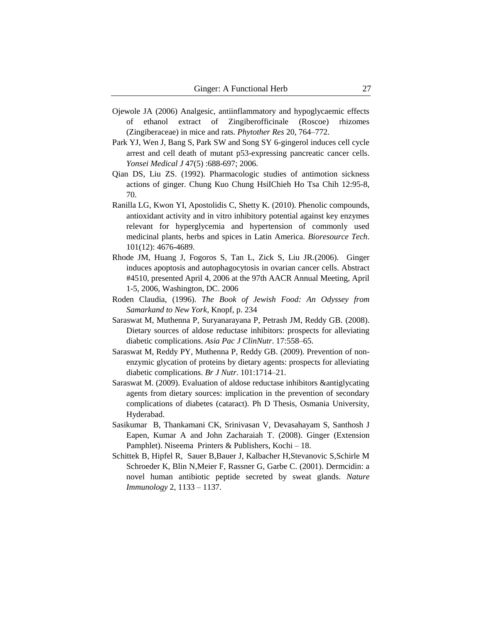- Ojewole JA (2006) Analgesic, antiinflammatory and hypoglycaemic effects of ethanol extract of Zingiberofficinale (Roscoe) rhizomes (Zingiberaceae) in mice and rats. *Phytother Res* 20, 764–772.
- Park YJ, Wen J, Bang S, Park SW and Song SY 6-gingerol induces cell cycle arrest and cell death of mutant p53-expressing pancreatic cancer cells. *Yonsei Medical J* 47(5) :688-697; 2006.
- Qian DS, Liu ZS. (1992). Pharmacologic studies of antimotion sickness actions of ginger. Chung Kuo Chung HsiIChieh Ho Tsa Chih 12:95-8, 70.
- Ranilla LG, Kwon YI[, Apostolidis](http://www.sciencedirect.com/science?_ob=RedirectURL&_method=outwardLink&_partnerName=27983&_origin=article&_zone=art_page&_linkType=scopusAuthorDocuments&_targetURL=http%3A%2F%2Fwww.scopus.com%2Fscopus%2Finward%2Fauthor.url%3FpartnerID%3D10%26rel%3D3.0.0%26sortField%3Dcited%26sortOrder%3Dasc%26author%3DApostolidis,%2520Emmanouil%26authorID%3D12796348900%26md5%3D7a2f0f1fa838416680ab22aa4694d6e1&_acct=C000047883&_version=1&_userid=912155&md5=16c80b78430862f5f5090ceba6fa238e) C, Shetty K. (2010). Phenolic compounds, antioxidant activity and in vitro inhibitory potential against key enzymes relevant for hyperglycemia and hypertension of commonly used medicinal plants, herbs and spices in Latin America. *Bioresource Tech*. 101(12): 4676-4689.
- Rhode JM, Huang J, Fogoros S, Tan L, Zick S, Liu JR.(2006). Ginger induces apoptosis and autophagocytosis in ovarian cancer cells. Abstract #4510, presented April 4, 2006 at the 97th AACR Annual Meeting, April 1-5, 2006, Washington, DC. 2006
- Roden Claudia, (1996). *The Book of Jewish Food: An Odyssey from Samarkand to New York*, Knopf, p. 234
- Saraswat M, Muthenna P, Suryanarayana P, Petrash JM, Reddy GB. (2008). Dietary sources of aldose reductase inhibitors: prospects for alleviating diabetic complications. *Asia Pac J ClinNutr*. 17:558–65.
- Saraswat M, Reddy PY, Muthenna P, Reddy GB. (2009). Prevention of nonenzymic glycation of proteins by dietary agents: prospects for alleviating diabetic complications. *Br J Nutr*. 101:1714–21.
- Saraswat M. (2009). Evaluation of aldose reductase inhibitors &antiglycating agents from dietary sources: implication in the prevention of secondary complications of diabetes (cataract). Ph D Thesis, Osmania University, Hyderabad.
- Sasikumar B, Thankamani CK, Srinivasan V, Devasahayam S, Santhosh J Eapen, Kumar A and John Zacharaiah T. (2008). Ginger (Extension Pamphlet). Niseema Printers & Publishers, Kochi – 18.
- Schittek B, Hipfel R, Sauer B,Bauer J, Kalbacher H,Stevanovic S,Schirle M Schroeder K, Blin N,Meier F, Rassner G, Garbe C. (2001). Dermcidin: a novel human antibiotic peptide secreted by sweat glands. *Nature Immunology* 2, 1133 – 1137.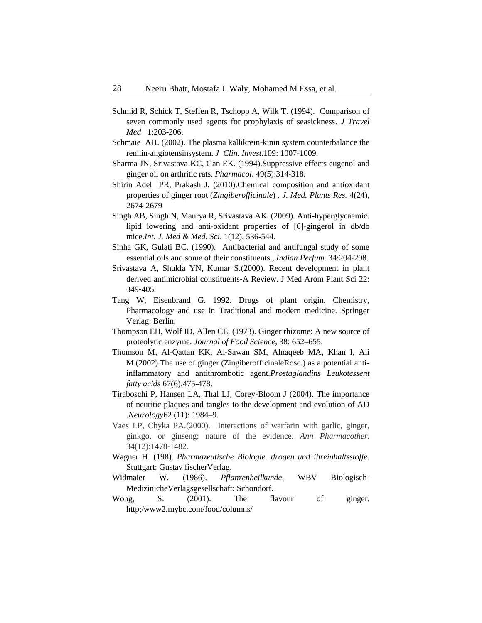- Schmid R, Schick T, Steffen R, Tschopp A, Wilk T. (1994). Comparison of seven commonly used agents for prophylaxis of seasickness. *J Travel Med* 1:203-206.
- Schmaie AH. (2002). The plasma kallikrein-kinin system counterbalance the rennin-angiotensinsystem. *J Clin. Invest*.109: 1007-1009.
- Sharma JN, Srivastava KC, Gan EK. (1994).Suppressive effects eugenol and ginger oil on arthritic rats. *Pharmacol*. 49(5):314‐318.
- Shirin Adel PR, Prakash J. (2010).Chemical composition and antioxidant properties of ginger root (*Zingiberofficinale*) *. J. Med. Plants Res.* 4(24), 2674-2679
- Singh AB, Singh N, Maurya R, Srivastava AK. (2009). Anti-hyperglycaemic. lipid lowering and anti-oxidant properties of [6]-gingerol in db/db mice.*Int. J. Med & Med. Sci*. 1(12), 536-544.
- Sinha GK, Gulati BC. (1990). Antibacterial and antifungal study of some essential oils and some of their constituents., *Indian Perfum*. 34:204‐208.
- Srivastava A, Shukla YN, Kumar S.(2000). Recent development in plant derived antimicrobial constituents‐A Review. J Med Arom Plant Sci 22: 349‐405.
- Tang W, Eisenbrand G. 1992. Drugs of plant origin. Chemistry, Pharmacology and use in Traditional and modern medicine. Springer Verlag: Berlin.
- Thompson EH, Wolf ID, Allen CE. (1973). Ginger rhizome: A new source of proteolytic enzyme. *Journal of Food Science*, 38: 652–655.
- [Thomson M,](http://www.ncbi.nlm.nih.gov/pubmed?term=%22Thomson%20M%22%5BAuthor%5D) [Al-Qattan KK,](http://www.ncbi.nlm.nih.gov/pubmed?term=%22Al-Qattan%20KK%22%5BAuthor%5D) [Al-Sawan SM,](http://www.ncbi.nlm.nih.gov/pubmed?term=%22Al-Sawan%20SM%22%5BAuthor%5D) [Alnaqeeb MA,](http://www.ncbi.nlm.nih.gov/pubmed?term=%22Alnaqeeb%20MA%22%5BAuthor%5D) [Khan I,](http://www.ncbi.nlm.nih.gov/pubmed?term=%22Khan%20I%22%5BAuthor%5D) [Ali](http://www.ncbi.nlm.nih.gov/pubmed?term=%22Ali%20M%22%5BAuthor%5D)  [M.](http://www.ncbi.nlm.nih.gov/pubmed?term=%22Ali%20M%22%5BAuthor%5D)(2002).The use of ginger (ZingiberofficinaleRosc.) as a potential antiinflammatory and antithrombotic agent.*Prostaglandins Leukotessent fatty acids* 67(6):475-478.
- Tiraboschi P, Hansen LA, Thal LJ, Corey-Bloom J (2004). The importance of neuritic plaques and tangles to the development and evolution of AD .*Neurology*62 (11): 1984–9.
- Vaes LP, Chyka PA.(2000). Interactions of warfarin with garlic, ginger, ginkgo, or ginseng: nature of the evidence. *Ann Pharmacother*. 34(12):1478-1482.
- Wagner H. (198). *Pharmazeutische Biologie. drogen und ihreinhaltsstoffe*. Stuttgart: Gustav fischerVerlag.
- Widmaier W. (1986). *Pflanzenheilkunde*, WBV Biologisch-MedizinicheVerlagsgesellschaft: Schondorf.
- Wong, S. (2001). The flavour of ginger. http;/www2.mybc.com/food/columns/